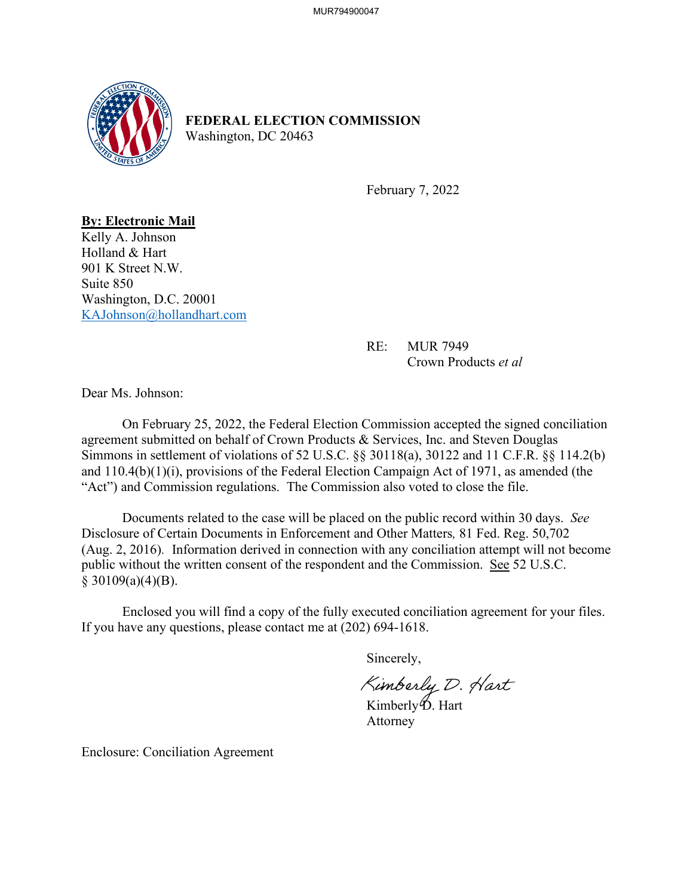

## **FEDERAL ELECTION COMMISSION** Washington, DC 20463

February 7, 2022

**By: Electronic Mail** Kelly A. Johnson Holland & Hart 901 K Street N.W. Suite 850 Washington, D.C. 20001 [KAJohnson@hollandhart.com](mailto:KAJohnson@hollandhart.com)

> RE: MUR 7949 Crown Products *et al*

Dear Ms. Johnson:

On February 25, 2022, the Federal Election Commission accepted the signed conciliation agreement submitted on behalf of Crown Products & Services, Inc. and Steven Douglas Simmons in settlement of violations of 52 U.S.C. §§ 30118(a), 30122 and 11 C.F.R. §§ 114.2(b) and 110.4(b)(1)(i), provisions of the Federal Election Campaign Act of 1971, as amended (the "Act") and Commission regulations. The Commission also voted to close the file.

Documents related to the case will be placed on the public record within 30 days. *See*  Disclosure of Certain Documents in Enforcement and Other Matters*,* 81 Fed. Reg. 50,702 (Aug. 2, 2016). Information derived in connection with any conciliation attempt will not become public without the written consent of the respondent and the Commission. See 52 U.S.C.  $§$  30109(a)(4)(B).

 Enclosed you will find a copy of the fully executed conciliation agreement for your files. If you have any questions, please contact me at (202) 694-1618.

Sincerely,

Kimberly D. Hart

Attorney

Enclosure: Conciliation Agreement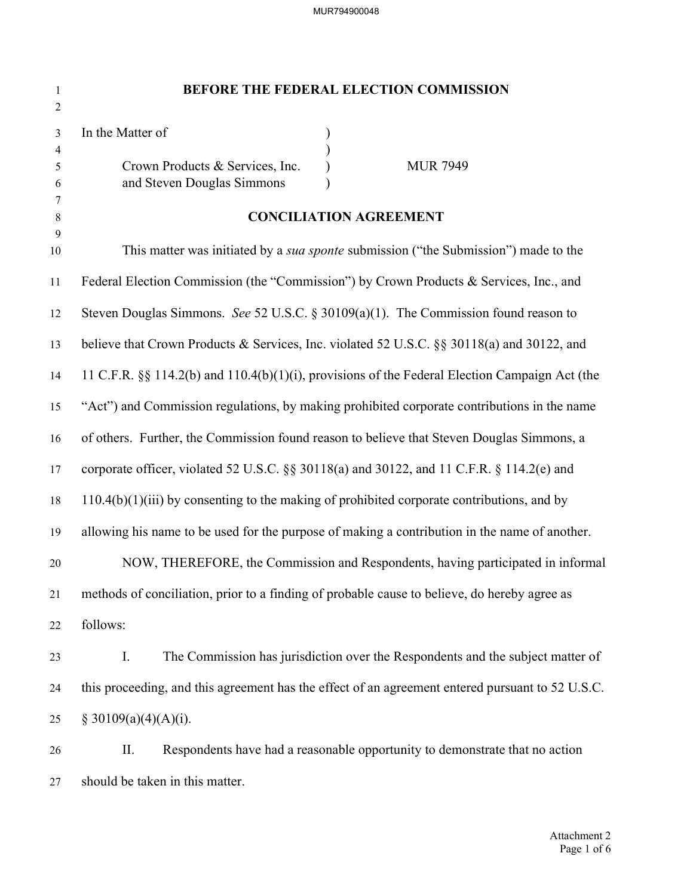| $\mathbf{1}$<br>$\sqrt{2}$ | BEFORE THE FEDERAL ELECTION COMMISSION                                                               |  |  |
|----------------------------|------------------------------------------------------------------------------------------------------|--|--|
| 3<br>4<br>5<br>6           | In the Matter of<br>Crown Products & Services, Inc.<br><b>MUR 7949</b><br>and Steven Douglas Simmons |  |  |
| 7<br>8                     | <b>CONCILIATION AGREEMENT</b>                                                                        |  |  |
| 9<br>10                    | This matter was initiated by a <i>sua sponte</i> submission ("the Submission") made to the           |  |  |
| 11                         | Federal Election Commission (the "Commission") by Crown Products & Services, Inc., and               |  |  |
| 12                         | Steven Douglas Simmons. See 52 U.S.C. § 30109(a)(1). The Commission found reason to                  |  |  |
| 13                         | believe that Crown Products & Services, Inc. violated 52 U.S.C. §§ 30118(a) and 30122, and           |  |  |
| 14                         | 11 C.F.R. §§ 114.2(b) and 110.4(b)(1)(i), provisions of the Federal Election Campaign Act (the       |  |  |
| 15                         | "Act") and Commission regulations, by making prohibited corporate contributions in the name          |  |  |
| 16                         | of others. Further, the Commission found reason to believe that Steven Douglas Simmons, a            |  |  |
| 17                         | corporate officer, violated 52 U.S.C. §§ 30118(a) and 30122, and 11 C.F.R. § 114.2(e) and            |  |  |
| 18                         | $110.4(b)(1)(iii)$ by consenting to the making of prohibited corporate contributions, and by         |  |  |
| 19                         | allowing his name to be used for the purpose of making a contribution in the name of another.        |  |  |
| 20                         | NOW, THEREFORE, the Commission and Respondents, having participated in informal                      |  |  |
| 21                         | methods of conciliation, prior to a finding of probable cause to believe, do hereby agree as         |  |  |
| 22                         | follows:                                                                                             |  |  |
| 23                         | The Commission has jurisdiction over the Respondents and the subject matter of<br>Ι.                 |  |  |
| 24                         | this proceeding, and this agreement has the effect of an agreement entered pursuant to 52 U.S.C.     |  |  |
| 25                         | § 30109(a)(4)(A)(i).                                                                                 |  |  |
| 26                         | Respondents have had a reasonable opportunity to demonstrate that no action<br>П.                    |  |  |
| 27                         | should be taken in this matter.                                                                      |  |  |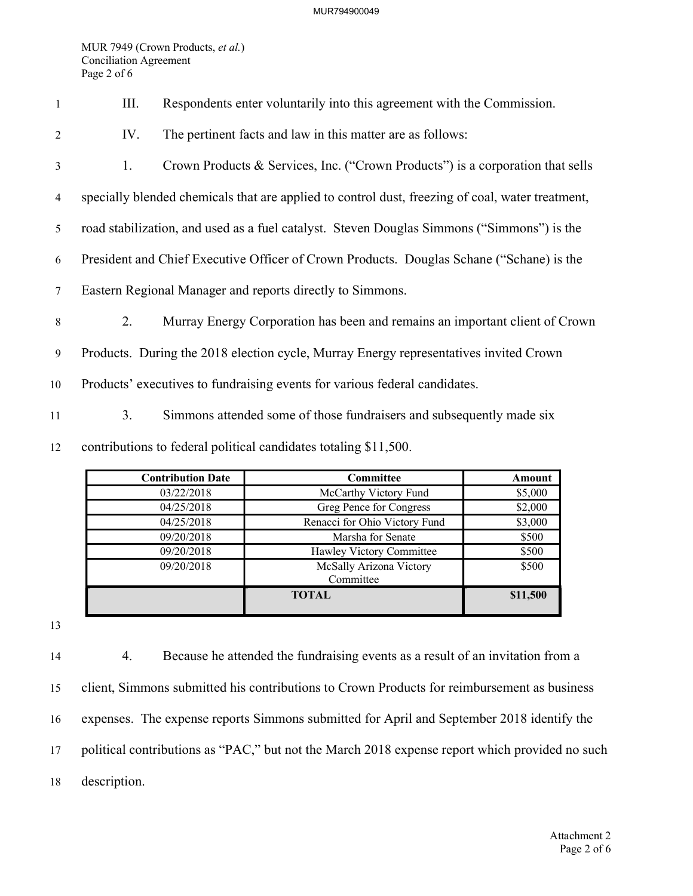MUR794900049

MUR 7949 (Crown Products, et al.) Conciliation Agreement Page 2 of 6

|  | Respondents enter voluntarily into this agreement with the Commission. |
|--|------------------------------------------------------------------------|
|  |                                                                        |

- <sup>2</sup> IV. The pertinent facts and law in this matter are as follows:
- 3 1. Crown Products & Services, Inc. ("Crown Products") is a corporation that sells
- 4 specially blended chemicals that are applied to control dust, freezing of coal, water treatment,
- 5 road stabilization, and used as a fuel catalyst. Steven Douglas Simmons ("Simmons") is the
- 6 President and Chief Executive Officer of Crown Products. Douglas Schane ("Schane) is the
- 7 Eastern Regional Manager and reports directly to Simmons.
- 8 2. Murray Energy Corporation has been and remains an important client of Crown

9 Products. During the 2018 election cycle, Murray Energy representatives invited Crown

- 10 Products' executives to fundraising events for various federal candidates.
- 11 3. Simmons attended some of those fundraisers and subsequently made six

12 contributions to federal political candidates totaling \$11,500.

| <b>Contribution Date</b> | <b>Committee</b>                     | Amount   |
|--------------------------|--------------------------------------|----------|
| 03/22/2018               | McCarthy Victory Fund                | \$5,000  |
| 04/25/2018               | Greg Pence for Congress              | \$2,000  |
| 04/25/2018               | Renacci for Ohio Victory Fund        | \$3,000  |
| 09/20/2018               | Marsha for Senate                    | \$500    |
| 09/20/2018               | Hawley Victory Committee             | \$500    |
| 09/20/2018               | McSally Arizona Victory<br>Committee | \$500    |
|                          | <b>TOTAL</b>                         | \$11,500 |

13

4. Because he attended the fundraising events as a result of an invitation from a client, Simmons submitted his contributions to Crown Products for reimbursement as business expenses. The expense reports Simmons submitted for April and September 2018 identify the 17 political contributions as "PAC," but not the March 2018 expense report which provided no such description.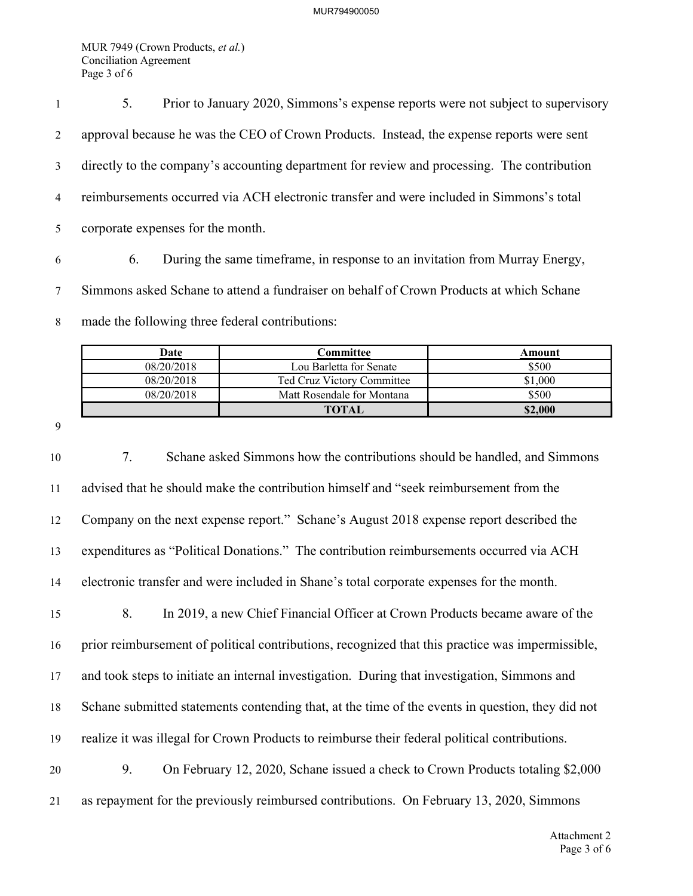MUR 7949 (Crown Products, et al.) Conciliation Agreement Page 3 of 6

5. Prior to January 2020, Simmons's expense reports were not subject to supervisory approval because he was the CEO of Crown Products. Instead, the expense reports were sent directly to the company's accounting department for review and processing. The contribution reimbursements occurred via ACH electronic transfer and were included in Simmons's total corporate expenses for the month.

6. During the same timeframe, in response to an invitation from Murray Energy, Simmons asked Schane to attend a fundraiser on behalf of Crown Products at which Schane made the following three federal contributions:

| Date       | C <b>ommittee</b>          | Amount  |
|------------|----------------------------|---------|
| 08/20/2018 | Lou Barletta for Senate    | \$500   |
| 08/20/2018 | Ted Cruz Victory Committee | \$1,000 |
| 08/20/2018 | Matt Rosendale for Montana | \$500   |
|            | <b>TOTAL</b>               | \$2,000 |

7. Schane asked Simmons how the contributions should be handled, and Simmons advised that he should make the contribution himself and "seek reimbursement from the Company on the next expense report." Schane's August 2018 expense report described the expenditures as "Political Donations." The contribution reimbursements occurred via ACH electronic transfer and were included in Shane's total corporate expenses for the month. 8. In 2019, a new Chief Financial Officer at Crown Products became aware of the prior reimbursement of political contributions, recognized that this practice was impermissible, 17 and took steps to initiate an internal investigation. During that investigation, Simmons and Schane submitted statements contending that, at the time of the events in question, they did not realize it was illegal for Crown Products to reimburse their federal political contributions. 9. On February 12, 2020, Schane issued a check to Crown Products totaling \$2,000 as repayment for the previously reimbursed contributions. On February 13, 2020, Simmons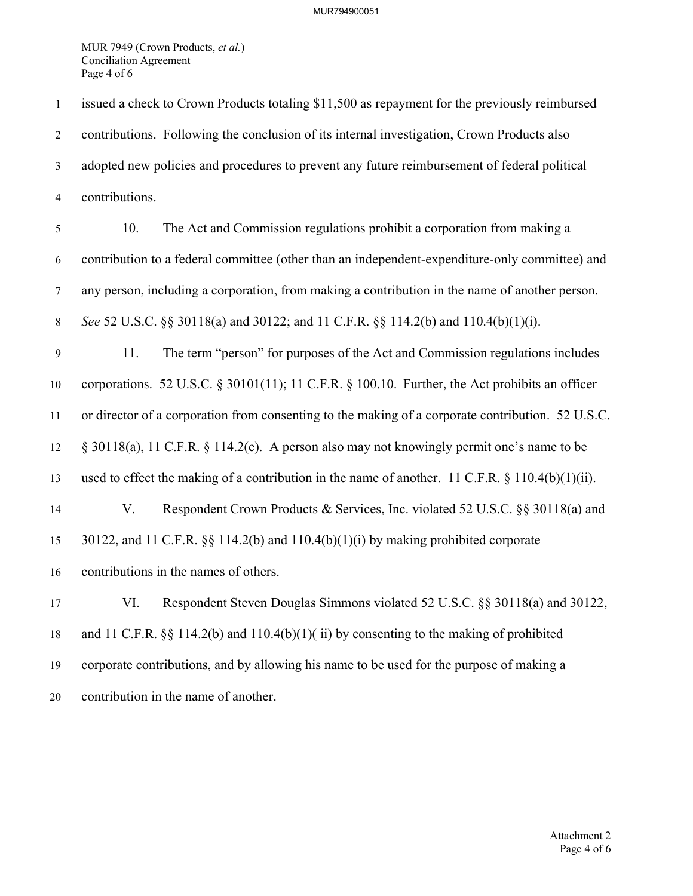MUR 7949 (Crown Products, et al.) Conciliation Agreement Page 4 of 6

issued a check to Crown Products totaling \$11,500 as repayment for the previously reimbursed contributions. Following the conclusion of its internal investigation, Crown Products also adopted new policies and procedures to prevent any future reimbursement of federal political contributions. 10. The Act and Commission regulations prohibit a corporation from making a contribution to a federal committee (other than an independent-expenditure-only committee) and any person, including a corporation, from making a contribution in the name of another person. 8 See 52 U.S.C. §§ 30118(a) and 30122; and 11 C.F.R. §§ 114.2(b) and 110.4(b)(1)(i). 11. The term "person" for purposes of the Act and Commission regulations includes corporations. 52 U.S.C. § 30101(11); 11 C.F.R. § 100.10. Further, the Act prohibits an officer or director of a corporation from consenting to the making of a corporate contribution. 52 U.S.C. § 30118(a), 11 C.F.R. § 114.2(e). A person also may not knowingly permit one's name to be used to effect the making of a contribution in the name of another. 11 C.F.R. § 110.4(b)(1)(ii). V. Respondent Crown Products & Services, Inc. violated 52 U.S.C. §§ 30118(a) and 30122, and 11 C.F.R. §§ 114.2(b) and 110.4(b)(1)(i) by making prohibited corporate contributions in the names of others. VI. Respondent Steven Douglas Simmons violated 52 U.S.C. §§ 30118(a) and 30122, and 11 C.F.R. §§ 114.2(b) and 110.4(b)(1)( ii) by consenting to the making of prohibited corporate contributions, and by allowing his name to be used for the purpose of making a contribution in the name of another.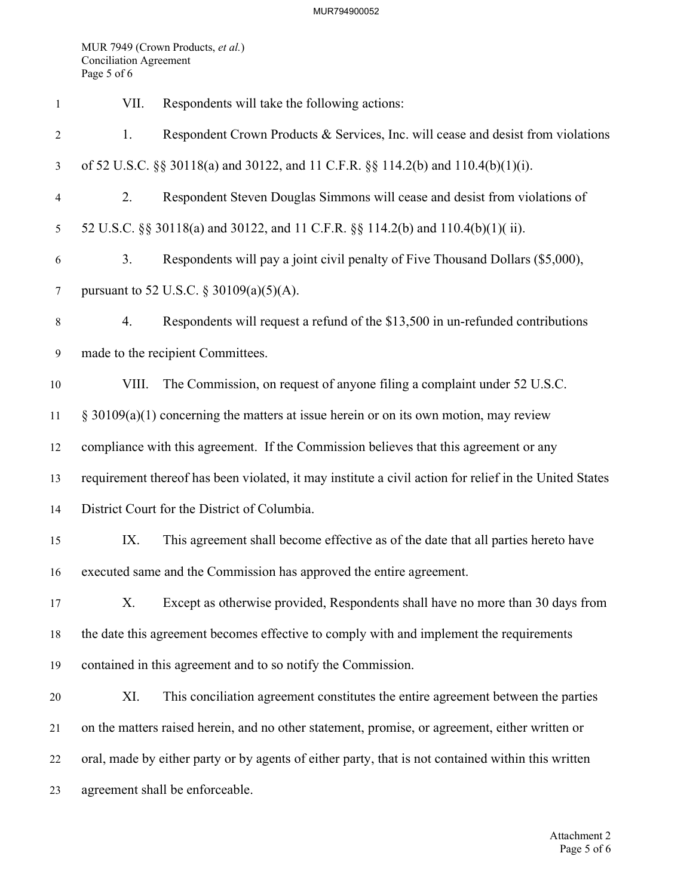MUR 7949 (Crown Products, et al.) Conciliation Agreement Page 5 of 6

| 1              | VII.                                         | Respondents will take the following actions:                                                           |  |  |
|----------------|----------------------------------------------|--------------------------------------------------------------------------------------------------------|--|--|
| $\overline{2}$ | 1.                                           | Respondent Crown Products & Services, Inc. will cease and desist from violations                       |  |  |
| 3              |                                              | of 52 U.S.C. §§ 30118(a) and 30122, and 11 C.F.R. §§ 114.2(b) and 110.4(b)(1)(i).                      |  |  |
| $\overline{4}$ | 2.                                           | Respondent Steven Douglas Simmons will cease and desist from violations of                             |  |  |
| 5              |                                              | 52 U.S.C. §§ 30118(a) and 30122, and 11 C.F.R. §§ 114.2(b) and 110.4(b)(1)(ii).                        |  |  |
| 6              | 3.                                           | Respondents will pay a joint civil penalty of Five Thousand Dollars (\$5,000),                         |  |  |
| $\tau$         | pursuant to 52 U.S.C. § 30109(a)(5)(A).      |                                                                                                        |  |  |
| $8\,$          | 4.                                           | Respondents will request a refund of the \$13,500 in un-refunded contributions                         |  |  |
| 9              | made to the recipient Committees.            |                                                                                                        |  |  |
| 10             | VIII.                                        | The Commission, on request of anyone filing a complaint under 52 U.S.C.                                |  |  |
| 11             |                                              | $\S$ 30109(a)(1) concerning the matters at issue herein or on its own motion, may review               |  |  |
| 12             |                                              | compliance with this agreement. If the Commission believes that this agreement or any                  |  |  |
| 13             |                                              | requirement thereof has been violated, it may institute a civil action for relief in the United States |  |  |
| 14             | District Court for the District of Columbia. |                                                                                                        |  |  |
| 15             | IX.                                          | This agreement shall become effective as of the date that all parties hereto have                      |  |  |
| 16             |                                              | executed same and the Commission has approved the entire agreement.                                    |  |  |
| 17             | X.                                           | Except as otherwise provided, Respondents shall have no more than 30 days from                         |  |  |
| 18             |                                              | the date this agreement becomes effective to comply with and implement the requirements                |  |  |
| 19             |                                              | contained in this agreement and to so notify the Commission.                                           |  |  |
| 20             | XI.                                          | This conciliation agreement constitutes the entire agreement between the parties                       |  |  |
| 21             |                                              | on the matters raised herein, and no other statement, promise, or agreement, either written or         |  |  |
| 22             |                                              | oral, made by either party or by agents of either party, that is not contained within this written     |  |  |
| 23             |                                              | agreement shall be enforceable.                                                                        |  |  |